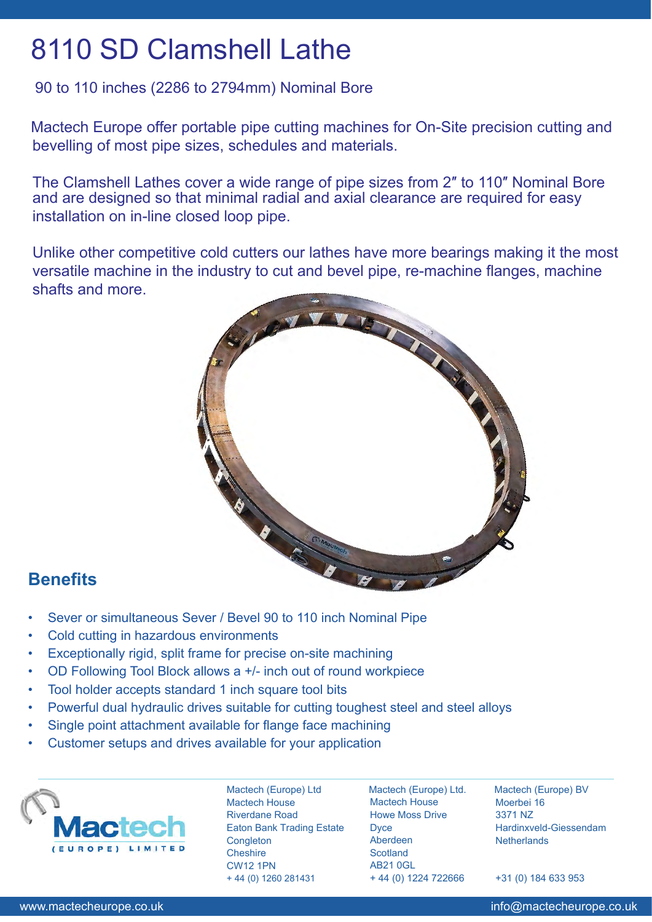## 8110 SD Clamshell Lathe

#### 90 to 110 inches (2286 to 2794mm) Nominal Bore

Mactech Europe offer portable pipe cutting machines for On-Site precision cutting and bevelling of most pipe sizes, schedules and materials.

The Clamshell Lathes cover a wide range of pipe sizes from 2″ to 110″ Nominal Bore and are designed so that minimal radial and axial clearance are required for easy installation on in-line closed loop pipe.

Unlike other competitive cold cutters our lathes have more bearings making it the most versatile machine in the industry to cut and bevel pipe, re-machine flanges, machine shafts and more.



### **Benefits**

- Sever or simultaneous Sever / Bevel 90 to 110 inch Nominal Pipe
- Cold cutting in hazardous environments
- Exceptionally rigid, split frame for precise on-site machining
- OD Following Tool Block allows a +/- inch out of round workpiece
- Tool holder accepts standard 1 inch square tool bits
- Powerful dual hydraulic drives suitable for cutting toughest steel and steel alloys
- Single point attachment available for flange face machining
- Customer setups and drives available for your application



Mactech (Europe) Ltd Mactech House Riverdane Road Eaton Bank Trading Estate **Congleton Cheshire** CW12 1PN + 44 (0) 1260 281431

Mactech (Europe) Ltd. Mactech House Howe Moss Drive **Dyce** Aberdeen **Scotland** AB21 0GL + 44 (0) 1224 722666

Mactech (Europe) BV Moerbei 16 3371 NZ Hardinxveld-Giessendam **Netherlands** 

+31 (0) 184 633 953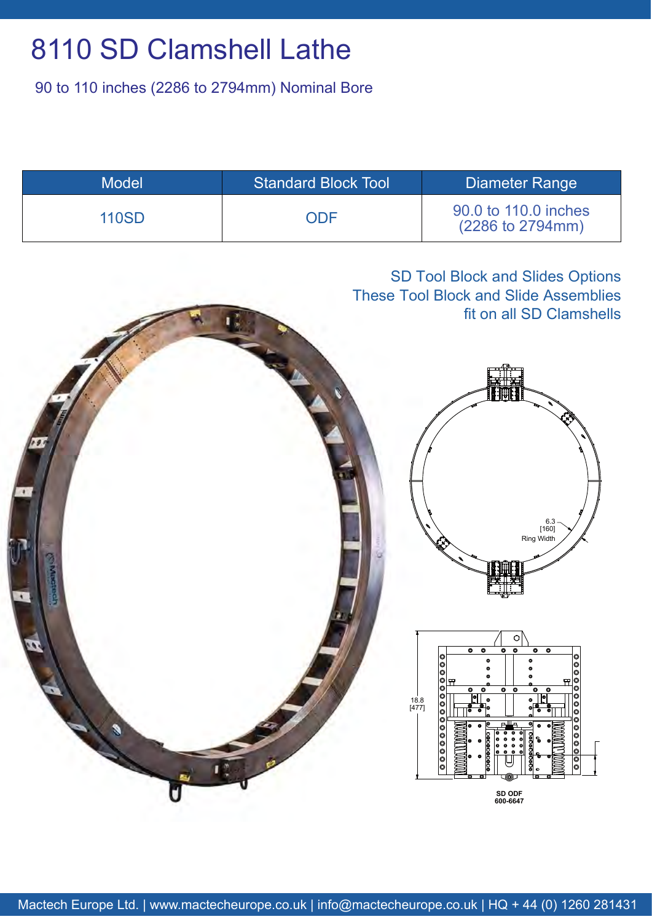# 8110 SD Clamshell Lathe

90 to 110 inches (2286 to 2794mm) Nominal Bore

| <b>Model</b> | <b>Standard Block Tool</b> | Diameter Range                           |
|--------------|----------------------------|------------------------------------------|
| <b>110SD</b> | ODE                        | 90.0 to 110.0 inches<br>(2286 to 2794mm) |